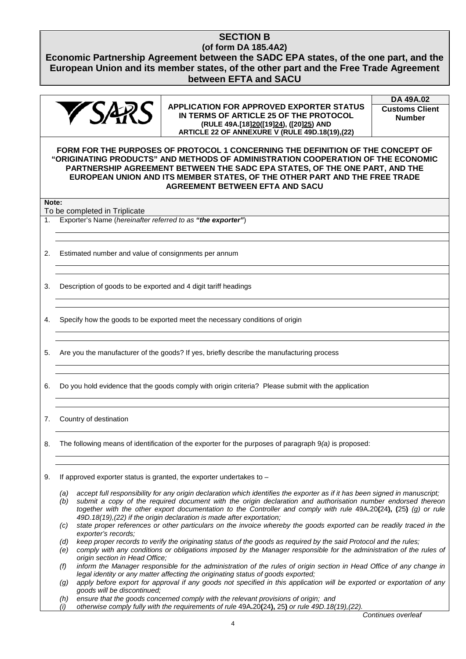## **SECTION B (of form DA 185.4A2)**

**Economic Partnership Agreement between the SADC EPA states, of the one part, and the European Union and its member states, of the other part and the Free Trade Agreement between EFTA and SACU**



**APPLICATION FOR APPROVED EXPORTER STATUS IN TERMS OF ARTICLE 25 OF THE PROTOCOL (RULE 49A.[18]20([19]24), ([20]25) AND ARTICLE 22 OF ANNEXURE V (RULE 49D.18(19),(22)**

**DA 49A.02 Customs Client Number**

**FORM FOR THE PURPOSES OF PROTOCOL 1 CONCERNING THE DEFINITION OF THE CONCEPT OF "ORIGINATING PRODUCTS" AND METHODS OF ADMINISTRATION COOPERATION OF THE ECONOMIC PARTNERSHIP AGREEMENT BETWEEN THE SADC EPA STATES, OF THE ONE PART, AND THE EUROPEAN UNION AND ITS MEMBER STATES, OF THE OTHER PART AND THE FREE TRADE AGREEMENT BETWEEN EFTA AND SACU**

**Note:**

To be completed in Triplicate

- 1. Exporter's Name (*hereinafter referred to as "the exporter"*)
- 2. Estimated number and value of consignments per annum
- 3. Description of goods to be exported and 4 digit tariff headings
- 4. Specify how the goods to be exported meet the necessary conditions of origin
- 5. Are you the manufacturer of the goods? If yes, briefly describe the manufacturing process
- 6. Do you hold evidence that the goods comply with origin criteria? Please submit with the application
- 7. Country of destination
- 8. The following means of identification of the exporter for the purposes of paragraph 9*(a)* is proposed:
- 9. If approved exporter status is granted, the exporter undertakes to
	- *(a) accept full responsibility for any origin declaration which identifies the exporter as if it has been signed in manuscript;*
	- *(b) submit a copy of the required document with the origin declaration and authorisation number endorsed thereon together with the other export documentation to the Controller and comply with rule* 49A**.**20**(**24**), (**25**)** *(g) or rule 49D.18(19),(22) if the origin declaration is made after exportation;*
	- *(c) state proper references or other particulars on the invoice whereby the goods exported can be readily traced in the exporter's records;*
	- *(d) keep proper records to verify the originating status of the goods as required by the said Protocol and the rules;*

*(e) comply with any conditions or obligations imposed by the Manager responsible for the administration of the rules of origin section in Head Office;*

- *(f) inform the Manager responsible for the administration of the rules of origin section in Head Office of any change in legal identity or any matter affecting the originating status of goods exported;*
- *(g) apply before export for approval if any goods not specified in this application will be exported or exportation of any goods will be discontinued;*
- *(h) ensure that the goods concerned comply with the relevant provisions of origin; and*
- *(i) otherwise comply fully with the requirements of rule* 49A**.**20**(**24**),** 25**)** *or rule 49D.18(19),(22).*